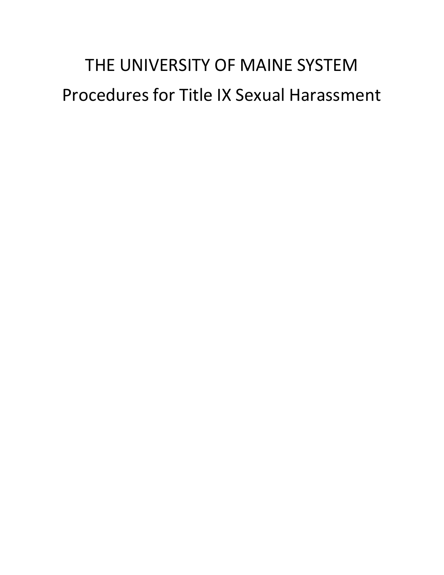# THE UNIVERSITY OF MAINE SYSTEM Procedures for Title IX Sexual Harassment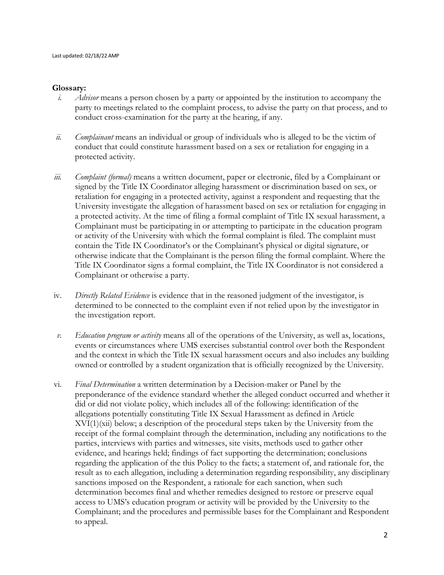#### **Glossary:**

- *i. Advisor* means a person chosen by a party or appointed by the institution to accompany the party to meetings related to the complaint process, to advise the party on that process, and to conduct cross-examination for the party at the hearing, if any.
- *ii. Complainant* means an individual or group of individuals who is alleged to be the victim of conduct that could constitute harassment based on a sex or retaliation for engaging in a protected activity.
- *iii. Complaint (formal)* means a written document, paper or electronic, filed by a Complainant or signed by the Title IX Coordinator alleging harassment or discrimination based on sex, or retaliation for engaging in a protected activity, against a respondent and requesting that the University investigate the allegation of harassment based on sex or retaliation for engaging in a protected activity. At the time of filing a formal complaint of Title IX sexual harassment, a Complainant must be participating in or attempting to participate in the education program or activity of the University with which the formal complaint is filed. The complaint must contain the Title IX Coordinator's or the Complainant's physical or digital signature, or otherwise indicate that the Complainant is the person filing the formal complaint. Where the Title IX Coordinator signs a formal complaint, the Title IX Coordinator is not considered a Complainant or otherwise a party.
- iv. *Directly Related Evidence* is evidence that in the reasoned judgment of the investigator, is determined to be connected to the complaint even if not relied upon by the investigator in the investigation report.
- *v. Education program or activity* means all of the operations of the University, as well as, locations, events or circumstances where UMS exercises substantial control over both the Respondent and the context in which the Title IX sexual harassment occurs and also includes any building owned or controlled by a student organization that is officially recognized by the University.
- vi. *Final Determination* a written determination by a Decision-maker or Panel by the preponderance of the evidence standard whether the alleged conduct occurred and whether it did or did not violate policy, which includes all of the following: identification of the allegations potentially constituting Title IX Sexual Harassment as defined in Article  $XVI(1)(xi)$  below; a description of the procedural steps taken by the University from the receipt of the formal complaint through the determination, including any notifications to the parties, interviews with parties and witnesses, site visits, methods used to gather other evidence, and hearings held; findings of fact supporting the determination; conclusions regarding the application of the this Policy to the facts; a statement of, and rationale for, the result as to each allegation, including a determination regarding responsibility, any disciplinary sanctions imposed on the Respondent, a rationale for each sanction, when such determination becomes final and whether remedies designed to restore or preserve equal access to UMS's education program or activity will be provided by the University to the Complainant; and the procedures and permissible bases for the Complainant and Respondent to appeal.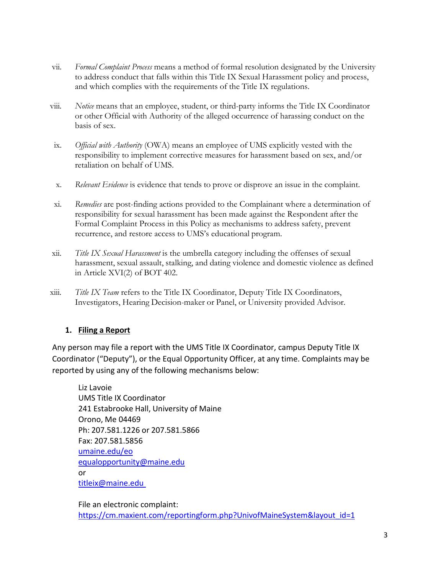- vii. *Formal Complaint Process* means a method of formal resolution designated by the University to address conduct that falls within this Title IX Sexual Harassment policy and process, and which complies with the requirements of the Title IX regulations.
- viii. *Notice* means that an employee, student, or third-party informs the Title IX Coordinator or other Official with Authority of the alleged occurrence of harassing conduct on the basis of sex.
- ix. *Official with Authority* (OWA) means an employee of UMS explicitly vested with the responsibility to implement corrective measures for harassment based on sex, and/or retaliation on behalf of UMS.
- x. *Relevant Evidence* is evidence that tends to prove or disprove an issue in the complaint.
- xi. *Remedies* are post-finding actions provided to the Complainant where a determination of responsibility for sexual harassment has been made against the Respondent after the Formal Complaint Process in this Policy as mechanisms to address safety, prevent recurrence, and restore access to UMS's educational program.
- xii. *Title IX Sexual Harassment* is the umbrella category including the offenses of sexual harassment, sexual assault, stalking, and dating violence and domestic violence as defined in Article XVI(2) of BOT 402.
- xiii. *Title IX Team* refers to the Title IX Coordinator, Deputy Title IX Coordinators, Investigators, Hearing Decision-maker or Panel, or University provided Advisor.

#### **1. Filing a Report**

Any person may file a report with the UMS Title IX Coordinator, campus Deputy Title IX Coordinator ("Deputy"), or the Equal Opportunity Officer, at any time. Complaints may be reported by using any of the following mechanisms below:

Liz Lavoie UMS Title IX Coordinator 241 Estabrooke Hall, University of Maine Orono, Me 04469 Ph: 207.581.1226 or 207.581.5866 Fax: 207.581.5856 [umaine.edu/eo](http://umaine.edu/eo) [equalopportunity@maine.edu](mailto:equalopportunity@maine.edu) or [titleix@maine.edu](mailto:titleix@maine.edu)

File an electronic complaint: [https://cm.maxient.com/reportingform.php?UnivofMaineSystem&layout\\_id=1](https://cm.maxient.com/reportingform.php?UnivofMaineSystem&layout_id=1)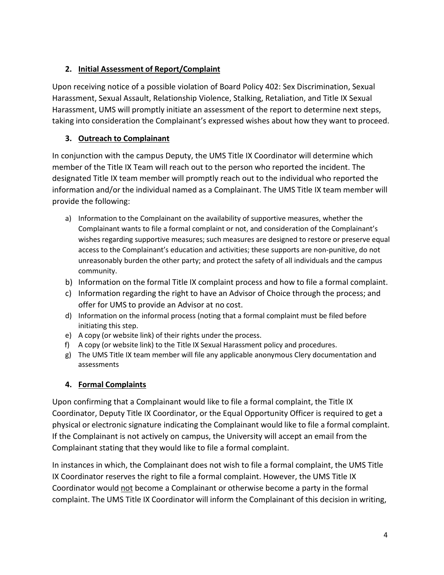# **2. Initial Assessment of Report/Complaint**

Upon receiving notice of a possible violation of Board Policy 402: Sex Discrimination, Sexual Harassment, Sexual Assault, Relationship Violence, Stalking, Retaliation, and Title IX Sexual Harassment, UMS will promptly initiate an assessment of the report to determine next steps, taking into consideration the Complainant's expressed wishes about how they want to proceed.

# **3. Outreach to Complainant**

In conjunction with the campus Deputy, the UMS Title IX Coordinator will determine which member of the Title IX Team will reach out to the person who reported the incident. The designated Title IX team member will promptly reach out to the individual who reported the information and/or the individual named as a Complainant. The UMS Title IX team member will provide the following:

- a) Information to the Complainant on the availability of supportive measures, whether the Complainant wants to file a formal complaint or not, and consideration of the Complainant's wishes regarding supportive measures; such measures are designed to restore or preserve equal access to the Complainant's education and activities; these supports are non-punitive, do not unreasonably burden the other party; and protect the safety of all individuals and the campus community.
- b) Information on the formal Title IX complaint process and how to file a formal complaint.
- c) Information regarding the right to have an Advisor of Choice through the process; and offer for UMS to provide an Advisor at no cost.
- d) Information on the informal process (noting that a formal complaint must be filed before initiating this step.
- e) A copy (or website link) of their rights under the process.
- f) A copy (or website link) to the Title IX Sexual Harassment policy and procedures.
- g) The UMS Title IX team member will file any applicable anonymous Clery documentation and assessments

### **4. Formal Complaints**

Upon confirming that a Complainant would like to file a formal complaint, the Title IX Coordinator, Deputy Title IX Coordinator, or the Equal Opportunity Officer is required to get a physical or electronic signature indicating the Complainant would like to file a formal complaint. If the Complainant is not actively on campus, the University will accept an email from the Complainant stating that they would like to file a formal complaint.

In instances in which, the Complainant does not wish to file a formal complaint, the UMS Title IX Coordinator reserves the right to file a formal complaint. However, the UMS Title IX Coordinator would not become a Complainant or otherwise become a party in the formal complaint. The UMS Title IX Coordinator will inform the Complainant of this decision in writing,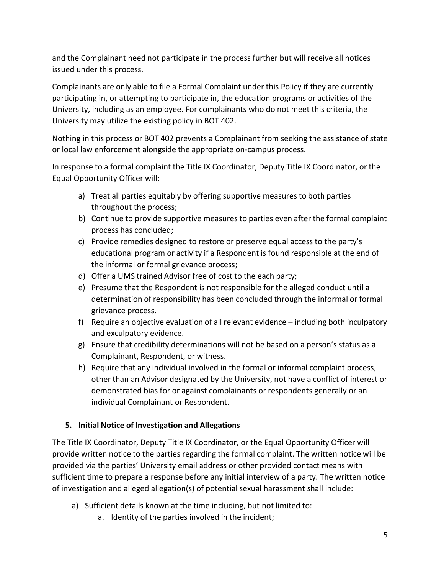and the Complainant need not participate in the process further but will receive all notices issued under this process.

Complainants are only able to file a Formal Complaint under this Policy if they are currently participating in, or attempting to participate in, the education programs or activities of the University, including as an employee. For complainants who do not meet this criteria, the University may utilize the existing policy in BOT 402.

Nothing in this process or BOT 402 prevents a Complainant from seeking the assistance of state or local law enforcement alongside the appropriate on-campus process.

In response to a formal complaint the Title IX Coordinator, Deputy Title IX Coordinator, or the Equal Opportunity Officer will:

- a) Treat all parties equitably by offering supportive measures to both parties throughout the process;
- b) Continue to provide supportive measures to parties even after the formal complaint process has concluded;
- c) Provide remedies designed to restore or preserve equal access to the party's educational program or activity if a Respondent is found responsible at the end of the informal or formal grievance process;
- d) Offer a UMS trained Advisor free of cost to the each party;
- e) Presume that the Respondent is not responsible for the alleged conduct until a determination of responsibility has been concluded through the informal or formal grievance process.
- f) Require an objective evaluation of all relevant evidence including both inculpatory and exculpatory evidence.
- g) Ensure that credibility determinations will not be based on a person's status as a Complainant, Respondent, or witness.
- h) Require that any individual involved in the formal or informal complaint process, other than an Advisor designated by the University, not have a conflict of interest or demonstrated bias for or against complainants or respondents generally or an individual Complainant or Respondent.

# **5. Initial Notice of Investigation and Allegations**

The Title IX Coordinator, Deputy Title IX Coordinator, or the Equal Opportunity Officer will provide written notice to the parties regarding the formal complaint. The written notice will be provided via the parties' University email address or other provided contact means with sufficient time to prepare a response before any initial interview of a party. The written notice of investigation and alleged allegation(s) of potential sexual harassment shall include:

- a) Sufficient details known at the time including, but not limited to:
	- a. Identity of the parties involved in the incident;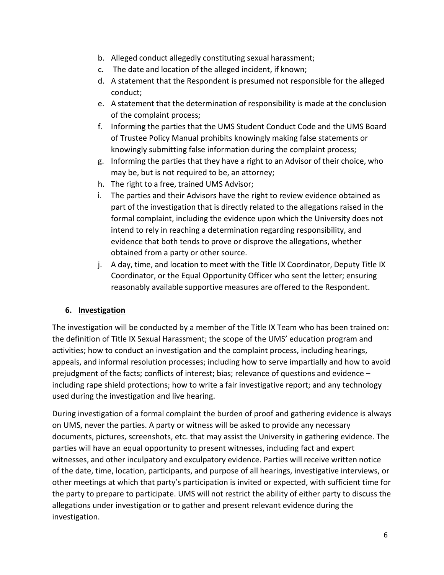- b. Alleged conduct allegedly constituting sexual harassment;
- c. The date and location of the alleged incident, if known;
- d. A statement that the Respondent is presumed not responsible for the alleged conduct;
- e. A statement that the determination of responsibility is made at the conclusion of the complaint process;
- f. Informing the parties that the UMS Student Conduct Code and the UMS Board of Trustee Policy Manual prohibits knowingly making false statements or knowingly submitting false information during the complaint process;
- g. Informing the parties that they have a right to an Advisor of their choice, who may be, but is not required to be, an attorney;
- h. The right to a free, trained UMS Advisor;
- i. The parties and their Advisors have the right to review evidence obtained as part of the investigation that is directly related to the allegations raised in the formal complaint, including the evidence upon which the University does not intend to rely in reaching a determination regarding responsibility, and evidence that both tends to prove or disprove the allegations, whether obtained from a party or other source.
- j. A day, time, and location to meet with the Title IX Coordinator, Deputy Title IX Coordinator, or the Equal Opportunity Officer who sent the letter; ensuring reasonably available supportive measures are offered to the Respondent.

### **6. Investigation**

The investigation will be conducted by a member of the Title IX Team who has been trained on: the definition of Title IX Sexual Harassment; the scope of the UMS' education program and activities; how to conduct an investigation and the complaint process, including hearings, appeals, and informal resolution processes; including how to serve impartially and how to avoid prejudgment of the facts; conflicts of interest; bias; relevance of questions and evidence – including rape shield protections; how to write a fair investigative report; and any technology used during the investigation and live hearing.

During investigation of a formal complaint the burden of proof and gathering evidence is always on UMS, never the parties. A party or witness will be asked to provide any necessary documents, pictures, screenshots, etc. that may assist the University in gathering evidence. The parties will have an equal opportunity to present witnesses, including fact and expert witnesses, and other inculpatory and exculpatory evidence. Parties will receive written notice of the date, time, location, participants, and purpose of all hearings, investigative interviews, or other meetings at which that party's participation is invited or expected, with sufficient time for the party to prepare to participate. UMS will not restrict the ability of either party to discuss the allegations under investigation or to gather and present relevant evidence during the investigation.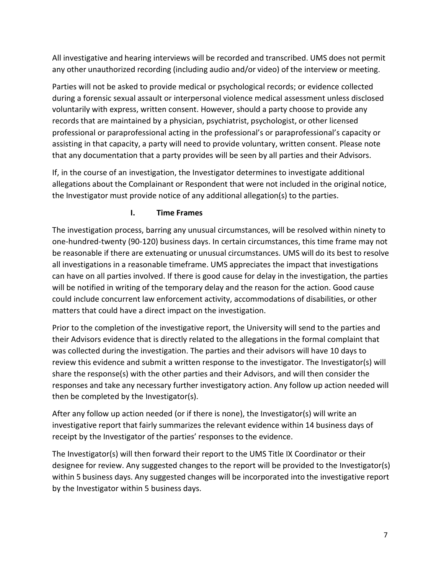All investigative and hearing interviews will be recorded and transcribed. UMS does not permit any other unauthorized recording (including audio and/or video) of the interview or meeting.

Parties will not be asked to provide medical or psychological records; or evidence collected during a forensic sexual assault or interpersonal violence medical assessment unless disclosed voluntarily with express, written consent. However, should a party choose to provide any records that are maintained by a physician, psychiatrist, psychologist, or other licensed professional or paraprofessional acting in the professional's or paraprofessional's capacity or assisting in that capacity, a party will need to provide voluntary, written consent. Please note that any documentation that a party provides will be seen by all parties and their Advisors.

If, in the course of an investigation, the Investigator determines to investigate additional allegations about the Complainant or Respondent that were not included in the original notice, the Investigator must provide notice of any additional allegation(s) to the parties.

#### **I. Time Frames**

The investigation process, barring any unusual circumstances, will be resolved within ninety to one-hundred-twenty (90-120) business days. In certain circumstances, this time frame may not be reasonable if there are extenuating or unusual circumstances. UMS will do its best to resolve all investigations in a reasonable timeframe. UMS appreciates the impact that investigations can have on all parties involved. If there is good cause for delay in the investigation, the parties will be notified in writing of the temporary delay and the reason for the action. Good cause could include concurrent law enforcement activity, accommodations of disabilities, or other matters that could have a direct impact on the investigation.

Prior to the completion of the investigative report, the University will send to the parties and their Advisors evidence that is directly related to the allegations in the formal complaint that was collected during the investigation. The parties and their advisors will have 10 days to review this evidence and submit a written response to the investigator. The Investigator(s) will share the response(s) with the other parties and their Advisors, and will then consider the responses and take any necessary further investigatory action. Any follow up action needed will then be completed by the Investigator(s).

After any follow up action needed (or if there is none), the Investigator(s) will write an investigative report that fairly summarizes the relevant evidence within 14 business days of receipt by the Investigator of the parties' responses to the evidence.

The Investigator(s) will then forward their report to the UMS Title IX Coordinator or their designee for review. Any suggested changes to the report will be provided to the Investigator(s) within 5 business days. Any suggested changes will be incorporated into the investigative report by the Investigator within 5 business days.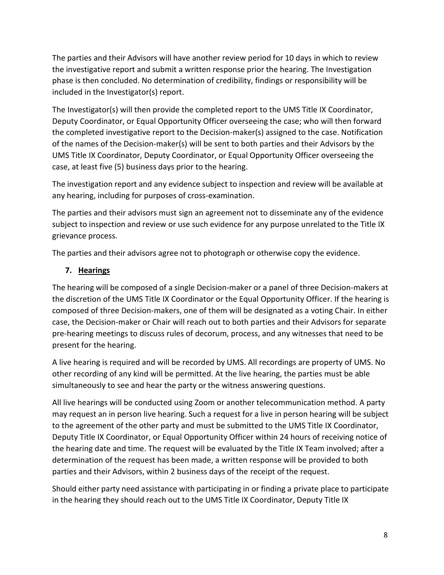The parties and their Advisors will have another review period for 10 days in which to review the investigative report and submit a written response prior the hearing. The Investigation phase is then concluded. No determination of credibility, findings or responsibility will be included in the Investigator(s) report.

The Investigator(s) will then provide the completed report to the UMS Title IX Coordinator, Deputy Coordinator, or Equal Opportunity Officer overseeing the case; who will then forward the completed investigative report to the Decision-maker(s) assigned to the case. Notification of the names of the Decision-maker(s) will be sent to both parties and their Advisors by the UMS Title IX Coordinator, Deputy Coordinator, or Equal Opportunity Officer overseeing the case, at least five (5) business days prior to the hearing.

The investigation report and any evidence subject to inspection and review will be available at any hearing, including for purposes of cross-examination.

The parties and their advisors must sign an agreement not to disseminate any of the evidence subject to inspection and review or use such evidence for any purpose unrelated to the Title IX grievance process.

The parties and their advisors agree not to photograph or otherwise copy the evidence.

#### **7. Hearings**

The hearing will be composed of a single Decision-maker or a panel of three Decision-makers at the discretion of the UMS Title IX Coordinator or the Equal Opportunity Officer. If the hearing is composed of three Decision-makers, one of them will be designated as a voting Chair. In either case, the Decision-maker or Chair will reach out to both parties and their Advisors for separate pre-hearing meetings to discuss rules of decorum, process, and any witnesses that need to be present for the hearing.

A live hearing is required and will be recorded by UMS. All recordings are property of UMS. No other recording of any kind will be permitted. At the live hearing, the parties must be able simultaneously to see and hear the party or the witness answering questions.

All live hearings will be conducted using Zoom or another telecommunication method. A party may request an in person live hearing. Such a request for a live in person hearing will be subject to the agreement of the other party and must be submitted to the UMS Title IX Coordinator, Deputy Title IX Coordinator, or Equal Opportunity Officer within 24 hours of receiving notice of the hearing date and time. The request will be evaluated by the Title IX Team involved; after a determination of the request has been made, a written response will be provided to both parties and their Advisors, within 2 business days of the receipt of the request.

Should either party need assistance with participating in or finding a private place to participate in the hearing they should reach out to the UMS Title IX Coordinator, Deputy Title IX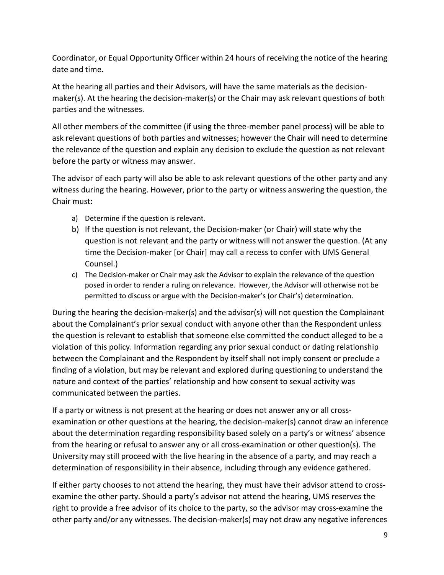Coordinator, or Equal Opportunity Officer within 24 hours of receiving the notice of the hearing date and time.

At the hearing all parties and their Advisors, will have the same materials as the decisionmaker(s). At the hearing the decision-maker(s) or the Chair may ask relevant questions of both parties and the witnesses.

All other members of the committee (if using the three-member panel process) will be able to ask relevant questions of both parties and witnesses; however the Chair will need to determine the relevance of the question and explain any decision to exclude the question as not relevant before the party or witness may answer.

The advisor of each party will also be able to ask relevant questions of the other party and any witness during the hearing. However, prior to the party or witness answering the question, the Chair must:

- a) Determine if the question is relevant.
- b) If the question is not relevant, the Decision-maker (or Chair) will state why the question is not relevant and the party or witness will not answer the question. (At any time the Decision-maker [or Chair] may call a recess to confer with UMS General Counsel.)
- c) The Decision-maker or Chair may ask the Advisor to explain the relevance of the question posed in order to render a ruling on relevance. However, the Advisor will otherwise not be permitted to discuss or argue with the Decision-maker's (or Chair's) determination.

During the hearing the decision-maker(s) and the advisor(s) will not question the Complainant about the Complainant's prior sexual conduct with anyone other than the Respondent unless the question is relevant to establish that someone else committed the conduct alleged to be a violation of this policy. Information regarding any prior sexual conduct or dating relationship between the Complainant and the Respondent by itself shall not imply consent or preclude a finding of a violation, but may be relevant and explored during questioning to understand the nature and context of the parties' relationship and how consent to sexual activity was communicated between the parties.

If a party or witness is not present at the hearing or does not answer any or all crossexamination or other questions at the hearing, the decision-maker(s) cannot draw an inference about the determination regarding responsibility based solely on a party's or witness' absence from the hearing or refusal to answer any or all cross-examination or other question(s). The University may still proceed with the live hearing in the absence of a party, and may reach a determination of responsibility in their absence, including through any evidence gathered.

If either party chooses to not attend the hearing, they must have their advisor attend to crossexamine the other party. Should a party's advisor not attend the hearing, UMS reserves the right to provide a free advisor of its choice to the party, so the advisor may cross-examine the other party and/or any witnesses. The decision-maker(s) may not draw any negative inferences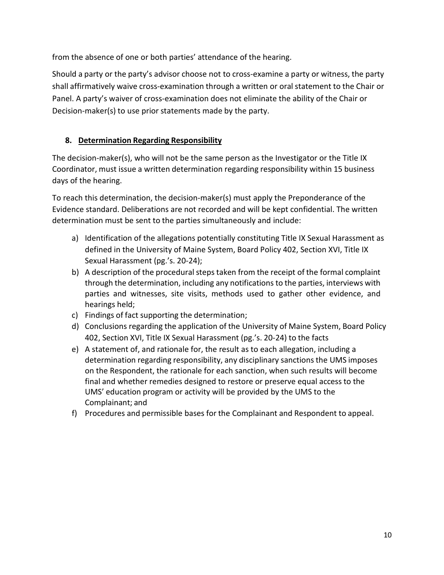from the absence of one or both parties' attendance of the hearing.

Should a party or the party's advisor choose not to cross-examine a party or witness, the party shall affirmatively waive cross-examination through a written or oral statement to the Chair or Panel. A party's waiver of cross-examination does not eliminate the ability of the Chair or Decision-maker(s) to use prior statements made by the party.

### **8. Determination Regarding Responsibility**

The decision-maker(s), who will not be the same person as the Investigator or the Title IX Coordinator, must issue a written determination regarding responsibility within 15 business days of the hearing.

To reach this determination, the decision-maker(s) must apply the Preponderance of the Evidence standard. Deliberations are not recorded and will be kept confidential. The written determination must be sent to the parties simultaneously and include:

- a) Identification of the allegations potentially constituting Title IX Sexual Harassment as defined in the University of Maine System, Board Policy 402, Section XVI, Title IX Sexual Harassment (pg.'s. 20-24);
- b) A description of the procedural steps taken from the receipt of the formal complaint through the determination, including any notifications to the parties, interviews with parties and witnesses, site visits, methods used to gather other evidence, and hearings held;
- c) Findings of fact supporting the determination;
- d) Conclusions regarding the application of the University of Maine System, Board Policy 402, Section XVI, Title IX Sexual Harassment (pg.'s. 20-24) to the facts
- e) A statement of, and rationale for, the result as to each allegation, including a determination regarding responsibility, any disciplinary sanctions the UMS imposes on the Respondent, the rationale for each sanction, when such results will become final and whether remedies designed to restore or preserve equal access to the UMS' education program or activity will be provided by the UMS to the Complainant; and
- f) Procedures and permissible bases for the Complainant and Respondent to appeal.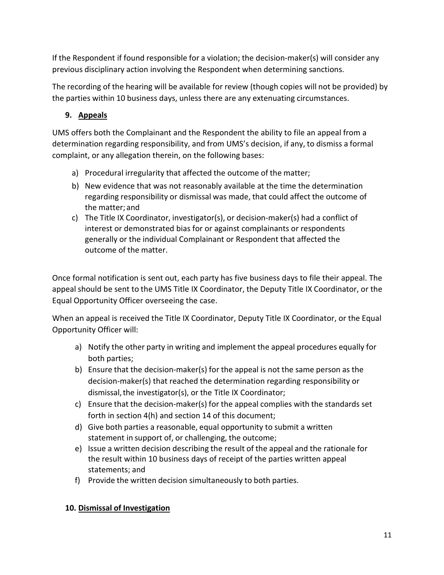If the Respondent if found responsible for a violation; the decision-maker(s) will consider any previous disciplinary action involving the Respondent when determining sanctions.

The recording of the hearing will be available for review (though copies will not be provided) by the parties within 10 business days, unless there are any extenuating circumstances.

# **9. Appeals**

UMS offers both the Complainant and the Respondent the ability to file an appeal from a determination regarding responsibility, and from UMS's decision, if any, to dismiss a formal complaint, or any allegation therein, on the following bases:

- a) Procedural irregularity that affected the outcome of the matter;
- b) New evidence that was not reasonably available at the time the determination regarding responsibility or dismissal was made, that could affect the outcome of the matter; and
- c) The Title IX Coordinator, investigator(s), or decision-maker(s) had a conflict of interest or demonstrated bias for or against complainants or respondents generally or the individual Complainant or Respondent that affected the outcome of the matter.

Once formal notification is sent out, each party has five business days to file their appeal. The appeal should be sent to the UMS Title IX Coordinator, the Deputy Title IX Coordinator, or the Equal Opportunity Officer overseeing the case.

When an appeal is received the Title IX Coordinator, Deputy Title IX Coordinator, or the Equal Opportunity Officer will:

- a) Notify the other party in writing and implement the appeal procedures equally for both parties;
- b) Ensure that the decision-maker(s) for the appeal is not the same person as the decision-maker(s) that reached the determination regarding responsibility or dismissal, the investigator(s), or the Title IX Coordinator;
- c) Ensure that the decision-maker(s) for the appeal complies with the standards set forth in section 4(h) and section 14 of this document;
- d) Give both parties a reasonable, equal opportunity to submit a written statement in support of, or challenging, the outcome;
- e) Issue a written decision describing the result of the appeal and the rationale for the result within 10 business days of receipt of the parties written appeal statements; and
- f) Provide the written decision simultaneously to both parties.

# **10. Dismissal of Investigation**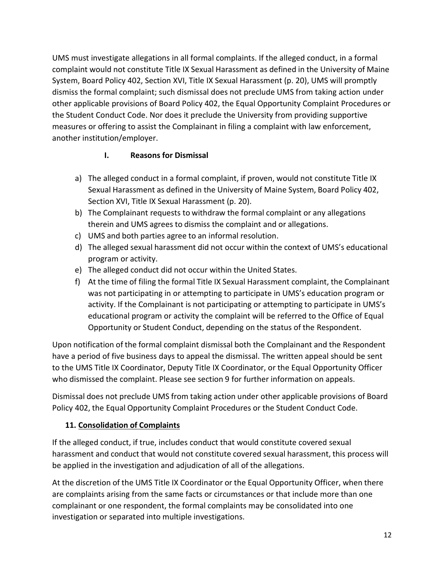UMS must investigate allegations in all formal complaints. If the alleged conduct, in a formal complaint would not constitute Title IX Sexual Harassment as defined in the University of Maine System, Board Policy 402, Section XVI, Title IX Sexual Harassment (p. 20), UMS will promptly dismiss the formal complaint; such dismissal does not preclude UMS from taking action under other applicable provisions of Board Policy 402, the Equal Opportunity Complaint Procedures or the Student Conduct Code. Nor does it preclude the University from providing supportive measures or offering to assist the Complainant in filing a complaint with law enforcement, another institution/employer.

# **I. Reasons for Dismissal**

- a) The alleged conduct in a formal complaint, if proven, would not constitute Title IX Sexual Harassment as defined in the University of Maine System, Board Policy 402, Section XVI, Title IX Sexual Harassment (p. 20).
- b) The Complainant requests to withdraw the formal complaint or any allegations therein and UMS agrees to dismiss the complaint and or allegations.
- c) UMS and both parties agree to an informal resolution.
- d) The alleged sexual harassment did not occur within the context of UMS's educational program or activity.
- e) The alleged conduct did not occur within the United States.
- f) At the time of filing the formal Title IX Sexual Harassment complaint, the Complainant was not participating in or attempting to participate in UMS's education program or activity. If the Complainant is not participating or attempting to participate in UMS's educational program or activity the complaint will be referred to the Office of Equal Opportunity or Student Conduct, depending on the status of the Respondent.

Upon notification of the formal complaint dismissal both the Complainant and the Respondent have a period of five business days to appeal the dismissal. The written appeal should be sent to the UMS Title IX Coordinator, Deputy Title IX Coordinator, or the Equal Opportunity Officer who dismissed the complaint. Please see section 9 for further information on appeals.

Dismissal does not preclude UMS from taking action under other applicable provisions of Board Policy 402, the Equal Opportunity Complaint Procedures or the Student Conduct Code.

# **11. Consolidation of Complaints**

If the alleged conduct, if true, includes conduct that would constitute covered sexual harassment and conduct that would not constitute covered sexual harassment, this process will be applied in the investigation and adjudication of all of the allegations.

At the discretion of the UMS Title IX Coordinator or the Equal Opportunity Officer, when there are complaints arising from the same facts or circumstances or that include more than one complainant or one respondent, the formal complaints may be consolidated into one investigation or separated into multiple investigations.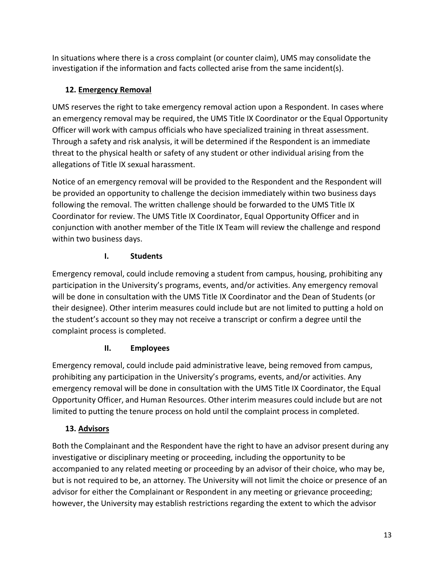In situations where there is a cross complaint (or counter claim), UMS may consolidate the investigation if the information and facts collected arise from the same incident(s).

# **12. Emergency Removal**

UMS reserves the right to take emergency removal action upon a Respondent. In cases where an emergency removal may be required, the UMS Title IX Coordinator or the Equal Opportunity Officer will work with campus officials who have specialized training in threat assessment. Through a safety and risk analysis, it will be determined if the Respondent is an immediate threat to the physical health or safety of any student or other individual arising from the allegations of Title IX sexual harassment.

Notice of an emergency removal will be provided to the Respondent and the Respondent will be provided an opportunity to challenge the decision immediately within two business days following the removal. The written challenge should be forwarded to the UMS Title IX Coordinator for review. The UMS Title IX Coordinator, Equal Opportunity Officer and in conjunction with another member of the Title IX Team will review the challenge and respond within two business days.

# **I. Students**

Emergency removal, could include removing a student from campus, housing, prohibiting any participation in the University's programs, events, and/or activities. Any emergency removal will be done in consultation with the UMS Title IX Coordinator and the Dean of Students (or their designee). Other interim measures could include but are not limited to putting a hold on the student's account so they may not receive a transcript or confirm a degree until the complaint process is completed.

# **II. Employees**

Emergency removal, could include paid administrative leave, being removed from campus, prohibiting any participation in the University's programs, events, and/or activities. Any emergency removal will be done in consultation with the UMS Title IX Coordinator, the Equal Opportunity Officer, and Human Resources. Other interim measures could include but are not limited to putting the tenure process on hold until the complaint process in completed.

# **13. Advisors**

Both the Complainant and the Respondent have the right to have an advisor present during any investigative or disciplinary meeting or proceeding, including the opportunity to be accompanied to any related meeting or proceeding by an advisor of their choice, who may be, but is not required to be, an attorney. The University will not limit the choice or presence of an advisor for either the Complainant or Respondent in any meeting or grievance proceeding; however, the University may establish restrictions regarding the extent to which the advisor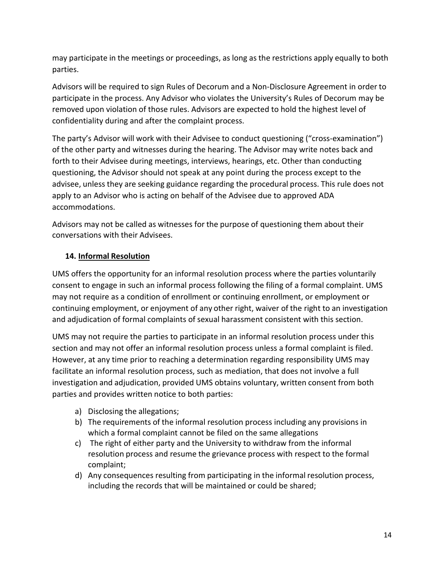may participate in the meetings or proceedings, as long as the restrictions apply equally to both parties.

Advisors will be required to sign Rules of Decorum and a Non-Disclosure Agreement in order to participate in the process. Any Advisor who violates the University's Rules of Decorum may be removed upon violation of those rules. Advisors are expected to hold the highest level of confidentiality during and after the complaint process.

The party's Advisor will work with their Advisee to conduct questioning ("cross-examination") of the other party and witnesses during the hearing. The Advisor may write notes back and forth to their Advisee during meetings, interviews, hearings, etc. Other than conducting questioning, the Advisor should not speak at any point during the process except to the advisee, unless they are seeking guidance regarding the procedural process. This rule does not apply to an Advisor who is acting on behalf of the Advisee due to approved ADA accommodations.

Advisors may not be called as witnesses for the purpose of questioning them about their conversations with their Advisees.

#### **14. Informal Resolution**

UMS offers the opportunity for an informal resolution process where the parties voluntarily consent to engage in such an informal process following the filing of a formal complaint. UMS may not require as a condition of enrollment or continuing enrollment, or employment or continuing employment, or enjoyment of any other right, waiver of the right to an investigation and adjudication of formal complaints of sexual harassment consistent with this section.

UMS may not require the parties to participate in an informal resolution process under this section and may not offer an informal resolution process unless a formal complaint is filed. However, at any time prior to reaching a determination regarding responsibility UMS may facilitate an informal resolution process, such as mediation, that does not involve a full investigation and adjudication, provided UMS obtains voluntary, written consent from both parties and provides written notice to both parties:

- a) Disclosing the allegations;
- b) The requirements of the informal resolution process including any provisions in which a formal complaint cannot be filed on the same allegations
- c) The right of either party and the University to withdraw from the informal resolution process and resume the grievance process with respect to the formal complaint;
- d) Any consequences resulting from participating in the informal resolution process, including the records that will be maintained or could be shared;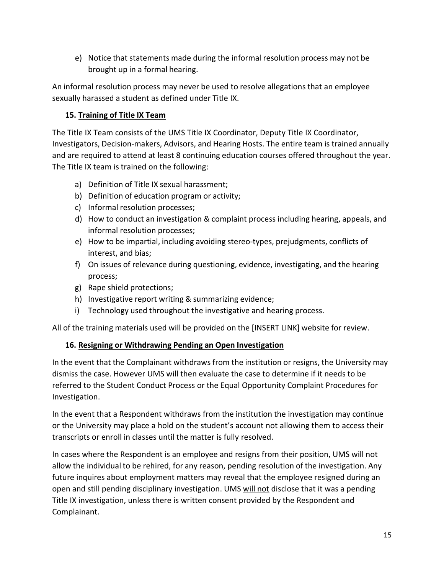e) Notice that statements made during the informal resolution process may not be brought up in a formal hearing.

An informal resolution process may never be used to resolve allegations that an employee sexually harassed a student as defined under Title IX.

# **15. Training of Title IX Team**

The Title IX Team consists of the UMS Title IX Coordinator, Deputy Title IX Coordinator, Investigators, Decision-makers, Advisors, and Hearing Hosts. The entire team is trained annually and are required to attend at least 8 continuing education courses offered throughout the year. The Title IX team is trained on the following:

- a) Definition of Title IX sexual harassment;
- b) Definition of education program or activity;
- c) Informal resolution processes;
- d) How to conduct an investigation & complaint process including hearing, appeals, and informal resolution processes;
- e) How to be impartial, including avoiding stereo-types, prejudgments, conflicts of interest, and bias;
- f) On issues of relevance during questioning, evidence, investigating, and the hearing process;
- g) Rape shield protections;
- h) Investigative report writing & summarizing evidence;
- i) Technology used throughout the investigative and hearing process.

All of the training materials used will be provided on the [INSERT LINK] website for review.

### **16. Resigning or Withdrawing Pending an Open Investigation**

In the event that the Complainant withdraws from the institution or resigns, the University may dismiss the case. However UMS will then evaluate the case to determine if it needs to be referred to the Student Conduct Process or the Equal Opportunity Complaint Procedures for Investigation.

In the event that a Respondent withdraws from the institution the investigation may continue or the University may place a hold on the student's account not allowing them to access their transcripts or enroll in classes until the matter is fully resolved.

In cases where the Respondent is an employee and resigns from their position, UMS will not allow the individual to be rehired, for any reason, pending resolution of the investigation. Any future inquires about employment matters may reveal that the employee resigned during an open and still pending disciplinary investigation. UMS will not disclose that it was a pending Title IX investigation, unless there is written consent provided by the Respondent and Complainant.